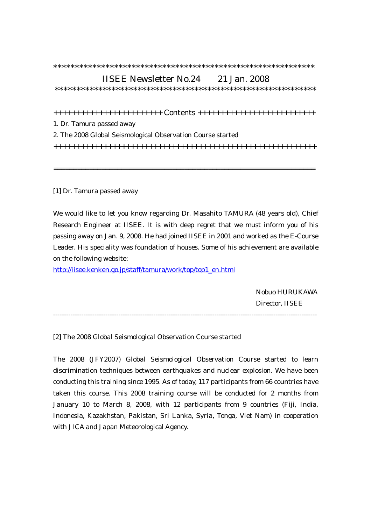## \*\*\*\*\*\*\*\*\*\*\*\*\*\*\*\*\*\*\*\*\*\*\*\*\*\*\*\*\*\*\*\*\*\*\*\*\*\*\*\*\*\*\*\*\*\*\*\*\*\*\*\*\*\*\*\*\*\*\*\*

## IISEE Newsletter No.24 21 Jan. 2008

\*\*\*\*\*\*\*\*\*\*\*\*\*\*\*\*\*\*\*\*\*\*\*\*\*\*\*\*\*\*\*\*\*\*\*\*\*\*\*\*\*\*\*\*\*\*\*\*\*\*\*\*\*\*\*\*\*\*\*\*

++++++++++++++++++++++++ Contents ++++++++++++++++++++++++++

1. Dr. Tamura passed away

2. The 2008 Global Seismological Observation Course started

++++++++++++++++++++++++++++++++++++++++++++++++++++++++++

==================================================================

[1] Dr. Tamura passed away

We would like to let you know regarding Dr. Masahito TAMURA (48 years old), Chief Research Engineer at IISEE. It is with deep regret that we must inform you of his passing away on Jan. 9, 2008. He had joined IISEE in 2001 and worked as the E-Course Leader. His speciality was foundation of houses. Some of his achievement are available on the following website:

[http://iisee.kenken.go.jp/staff/tamura/work/top/top1\\_en.html](http://iisee.kenken.go.jp/staff/tamura/work/top/top1_en.html)

 Nobuo HURUKAWA Director, IISEE

-------------------------------------------------------------------------------------------------------------------------

[2] The 2008 Global Seismological Observation Course started

The 2008 (JFY2007) Global Seismological Observation Course started to learn discrimination techniques between earthquakes and nuclear explosion. We have been conducting this training since 1995. As of today, 117 participants from 66 countries have taken this course. This 2008 training course will be conducted for 2 months from January 10 to March 8, 2008, with 12 participants from 9 countries (Fiji, India, Indonesia, Kazakhstan, Pakistan, Sri Lanka, Syria, Tonga, Viet Nam) in cooperation with JICA and Japan Meteorological Agency.